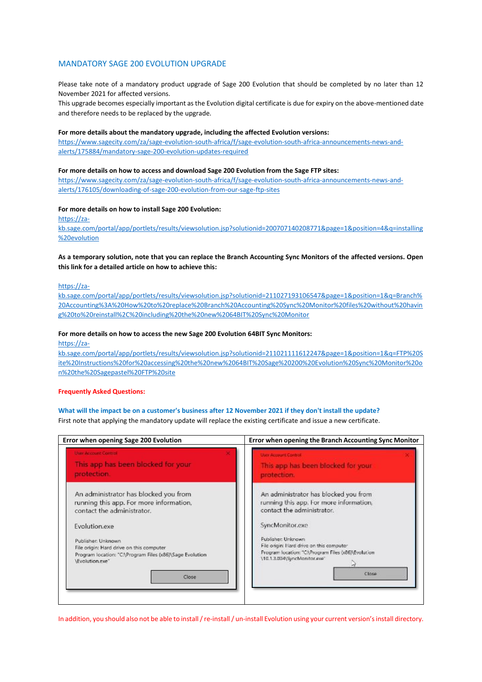## MANDATORY SAGE 200 EVOLUTION UPGRADE

Please take note of a mandatory product upgrade of Sage 200 Evolution that should be completed by no later than 12 November 2021 for affected versions.

This upgrade becomes especially important as the Evolution digital certificate is due for expiry on the above-mentioned date and therefore needs to be replaced by the upgrade.

### **For more details about the mandatory upgrade, including the affected Evolution versions:**

[https://www.sagecity.com/za/sage-evolution-south-africa/f/sage-evolution-south-africa-announcements-news-and](https://www.sagecity.com/za/sage-evolution-south-africa/f/sage-evolution-south-africa-announcements-news-and-alerts/175884/mandatory-sage-200-evolution-updates-required)[alerts/175884/mandatory-sage-200-evolution-updates-required](https://www.sagecity.com/za/sage-evolution-south-africa/f/sage-evolution-south-africa-announcements-news-and-alerts/175884/mandatory-sage-200-evolution-updates-required)

#### **For more details on how to access and download Sage 200 Evolution from the Sage FTP sites:**

[https://www.sagecity.com/za/sage-evolution-south-africa/f/sage-evolution-south-africa-announcements-news-and](https://www.sagecity.com/za/sage-evolution-south-africa/f/sage-evolution-south-africa-announcements-news-and-alerts/176105/downloading-of-sage-200-evolution-from-our-sage-ftp-sites)[alerts/176105/downloading-of-sage-200-evolution-from-our-sage-ftp-sites](https://www.sagecity.com/za/sage-evolution-south-africa/f/sage-evolution-south-africa-announcements-news-and-alerts/176105/downloading-of-sage-200-evolution-from-our-sage-ftp-sites)

### **For more details on how to install Sage 200 Evolution:**

[https://za-](https://za-kb.sage.com/portal/app/portlets/results/viewsolution.jsp?solutionid=200707140208771&page=1&position=4&q=installing%20evolution)

[kb.sage.com/portal/app/portlets/results/viewsolution.jsp?solutionid=200707140208771&page=1&position=4&q=installing](https://za-kb.sage.com/portal/app/portlets/results/viewsolution.jsp?solutionid=200707140208771&page=1&position=4&q=installing%20evolution) [%20evolution](https://za-kb.sage.com/portal/app/portlets/results/viewsolution.jsp?solutionid=200707140208771&page=1&position=4&q=installing%20evolution)

# **As a temporary solution, note that you can replace the Branch Accounting Sync Monitors of the affected versions. Open this link for a detailed article on how to achieve this:**

[https://za-](https://za-kb.sage.com/portal/app/portlets/results/viewsolution.jsp?solutionid=211027193106547&page=1&position=1&q=Branch%20Accounting%3A%20How%20to%20replace%20Branch%20Accounting%20Sync%20Monitor%20files%20without%20having%20to%20reinstall%2C%20including%20the%20new%2064BIT%20Sync%20Monitor)

[kb.sage.com/portal/app/portlets/results/viewsolution.jsp?solutionid=211027193106547&page=1&position=1&q=Branch%](https://za-kb.sage.com/portal/app/portlets/results/viewsolution.jsp?solutionid=211027193106547&page=1&position=1&q=Branch%20Accounting%3A%20How%20to%20replace%20Branch%20Accounting%20Sync%20Monitor%20files%20without%20having%20to%20reinstall%2C%20including%20the%20new%2064BIT%20Sync%20Monitor) [20Accounting%3A%20How%20to%20replace%20Branch%20Accounting%20Sync%20Monitor%20files%20without%20havin](https://za-kb.sage.com/portal/app/portlets/results/viewsolution.jsp?solutionid=211027193106547&page=1&position=1&q=Branch%20Accounting%3A%20How%20to%20replace%20Branch%20Accounting%20Sync%20Monitor%20files%20without%20having%20to%20reinstall%2C%20including%20the%20new%2064BIT%20Sync%20Monitor) [g%20to%20reinstall%2C%20including%20the%20new%2064BIT%20Sync%20Monitor](https://za-kb.sage.com/portal/app/portlets/results/viewsolution.jsp?solutionid=211027193106547&page=1&position=1&q=Branch%20Accounting%3A%20How%20to%20replace%20Branch%20Accounting%20Sync%20Monitor%20files%20without%20having%20to%20reinstall%2C%20including%20the%20new%2064BIT%20Sync%20Monitor)

## **For more details on how to access the new Sage 200 Evolution 64BIT Sync Monitors:**

[https://za-](https://za-kb.sage.com/portal/app/portlets/results/viewsolution.jsp?solutionid=211021111612247&page=1&position=1&q=FTP%20Site%20Instructions%20for%20accessing%20the%20new%2064BIT%20Sage%20200%20Evolution%20Sync%20Monitor%20on%20the%20Sagepastel%20FTP%20site)

[kb.sage.com/portal/app/portlets/results/viewsolution.jsp?solutionid=211021111612247&page=1&position=1&q=FTP%20S](https://za-kb.sage.com/portal/app/portlets/results/viewsolution.jsp?solutionid=211021111612247&page=1&position=1&q=FTP%20Site%20Instructions%20for%20accessing%20the%20new%2064BIT%20Sage%20200%20Evolution%20Sync%20Monitor%20on%20the%20Sagepastel%20FTP%20site) [ite%20Instructions%20for%20accessing%20the%20new%2064BIT%20Sage%20200%20Evolution%20Sync%20Monitor%20o](https://za-kb.sage.com/portal/app/portlets/results/viewsolution.jsp?solutionid=211021111612247&page=1&position=1&q=FTP%20Site%20Instructions%20for%20accessing%20the%20new%2064BIT%20Sage%20200%20Evolution%20Sync%20Monitor%20on%20the%20Sagepastel%20FTP%20site) [n%20the%20Sagepastel%20FTP%20site](https://za-kb.sage.com/portal/app/portlets/results/viewsolution.jsp?solutionid=211021111612247&page=1&position=1&q=FTP%20Site%20Instructions%20for%20accessing%20the%20new%2064BIT%20Sage%20200%20Evolution%20Sync%20Monitor%20on%20the%20Sagepastel%20FTP%20site)

#### **Frequently Asked Questions:**

**What will the impact be on a customer's business after 12 November 2021 if they don't install the update?** First note that applying the mandatory update will replace the existing certificate and issue a new certificate.

| Error when opening Sage 200 Evolution                    | Error when opening the Branch Accounting Sync Monitor |
|----------------------------------------------------------|-------------------------------------------------------|
| <b>User Account Control</b>                              | <b>User Account Control</b>                           |
| This app has been blocked for your                       | This app has been blocked for your                    |
| protection.                                              | protection.                                           |
| An administrator has blocked you from                    | An administrator has blocked you from                 |
| running this app. For more information,                  | running this app. For more information,               |
| contact the administrator.                               | contact the administrator.                            |
| Evolution.exe                                            | SyncMonitor.exe                                       |
| Publisher: Unknown                                       | Publisher, Unknown                                    |
| File origin: Hard drive on this computer                 | File origin: Hard drive on this computer              |
| Program location: "C:\Program Files (x86)\Sage Evolution | Program location: "CAProgram Files (x86) Evolution    |
| \Evolution.exe"                                          | \10.1.3.004\SyncMonitor.exe"                          |
| Close                                                    | Close                                                 |

In addition, you should also not be able to install / re-install / un-install Evolution using your current version's install directory.